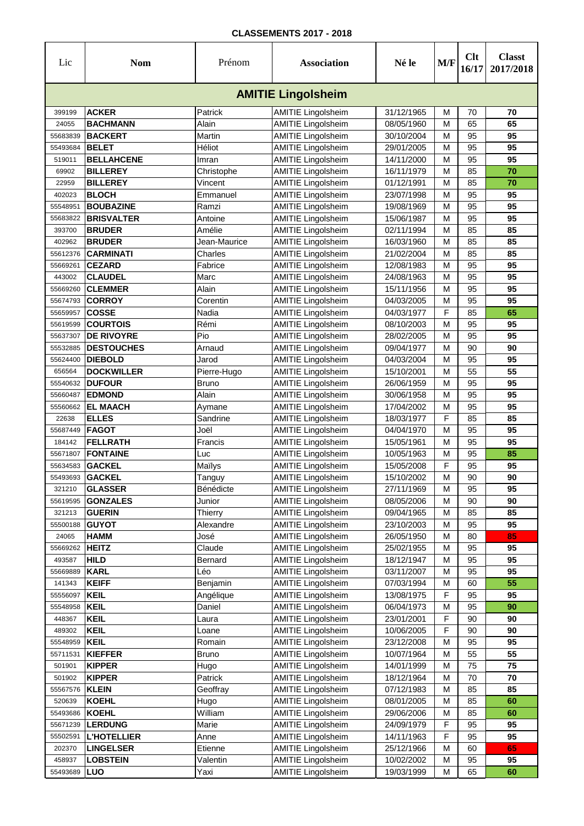| Lic      | <b>Nom</b>         | Prénom         | <b>Association</b>        | Né le      | M/F | Clt<br>16/17 | <b>Classt</b><br>2017/2018 |
|----------|--------------------|----------------|---------------------------|------------|-----|--------------|----------------------------|
|          |                    |                | <b>AMITIE Lingolsheim</b> |            |     |              |                            |
| 399199   | <b>ACKER</b>       | Patrick        | <b>AMITIE Lingolsheim</b> | 31/12/1965 | М   | 70           | 70                         |
| 24055    | <b>BACHMANN</b>    | Alain          | <b>AMITIE Lingolsheim</b> | 08/05/1960 | М   | 65           | 65                         |
| 55683839 | <b>BACKERT</b>     | Martin         | <b>AMITIE Lingolsheim</b> | 30/10/2004 | М   | 95           | 95                         |
| 55493684 | <b>BELET</b>       | Héliot         | <b>AMITIE Lingolsheim</b> | 29/01/2005 | М   | 95           | 95                         |
| 519011   | <b>BELLAHCENE</b>  | Imran          | <b>AMITIE Lingolsheim</b> | 14/11/2000 | М   | 95           | 95                         |
| 69902    | <b>BILLEREY</b>    | Christophe     | <b>AMITIE Lingolsheim</b> | 16/11/1979 | М   | 85           | 70                         |
| 22959    | <b>BILLEREY</b>    | Vincent        | <b>AMITIE Lingolsheim</b> | 01/12/1991 | М   | 85           | 70                         |
| 402023   | <b>BLOCH</b>       | Emmanuel       | <b>AMITIE Lingolsheim</b> | 23/07/1998 | М   | 95           | 95                         |
| 55548951 | <b>BOUBAZINE</b>   | Ramzi          | <b>AMITIE Lingolsheim</b> | 19/08/1969 | М   | 95           | 95                         |
| 55683822 | <b>BRISVALTER</b>  | Antoine        | <b>AMITIE Lingolsheim</b> | 15/06/1987 | М   | 95           | 95                         |
| 393700   | <b>BRUDER</b>      | Amélie         | <b>AMITIE Lingolsheim</b> | 02/11/1994 | М   | 85           | 85                         |
| 402962   | <b>BRUDER</b>      | Jean-Maurice   | <b>AMITIE Lingolsheim</b> | 16/03/1960 | М   | 85           | 85                         |
| 55612376 | <b>CARMINATI</b>   | Charles        | <b>AMITIE Lingolsheim</b> | 21/02/2004 | М   | 85           | 85                         |
| 55669261 | <b>CEZARD</b>      | Fabrice        | <b>AMITIE Lingolsheim</b> | 12/08/1983 | М   | 95           | 95                         |
| 443002   | <b>CLAUDEL</b>     | Marc           | <b>AMITIE Lingolsheim</b> | 24/08/1963 | М   | 95           | 95                         |
| 55669260 | <b>CLEMMER</b>     | Alain          | <b>AMITIE Lingolsheim</b> | 15/11/1956 | М   | 95           | 95                         |
| 55674793 | <b>CORROY</b>      | Corentin       | <b>AMITIE Lingolsheim</b> | 04/03/2005 | М   | 95           | 95                         |
| 55659957 | <b>COSSE</b>       | Nadia          | <b>AMITIE Lingolsheim</b> | 04/03/1977 | F   | 85           | 65                         |
| 55619599 | <b>COURTOIS</b>    | Rémi           | <b>AMITIE Lingolsheim</b> | 08/10/2003 | М   | 95           | 95                         |
| 55637307 | <b>DE RIVOYRE</b>  | Pio            | <b>AMITIE Lingolsheim</b> | 28/02/2005 | М   | 95           | 95                         |
| 55532885 | <b>DESTOUCHES</b>  | Arnaud         | <b>AMITIE Lingolsheim</b> | 09/04/1977 | М   | 90           | 90                         |
| 55624400 | <b>DIEBOLD</b>     | Jarod          | <b>AMITIE Lingolsheim</b> | 04/03/2004 | М   | 95           | 95                         |
| 656564   | <b>DOCKWILLER</b>  | Pierre-Hugo    | <b>AMITIE Lingolsheim</b> | 15/10/2001 | М   | 55           | 55                         |
| 55540632 | <b>DUFOUR</b>      | Bruno          | <b>AMITIE Lingolsheim</b> | 26/06/1959 | М   | 95           | 95                         |
| 55660487 | <b>EDMOND</b>      | Alain          | <b>AMITIE Lingolsheim</b> | 30/06/1958 | М   | 95           | 95                         |
| 55560662 | <b>EL MAACH</b>    | Aymane         | <b>AMITIE Lingolsheim</b> | 17/04/2002 | М   | 95           | 95                         |
| 22638    | <b>ELLES</b>       | Sandrine       | <b>AMITIE Lingolsheim</b> | 18/03/1977 | F   | 85           | 85                         |
| 55687449 | <b>FAGOT</b>       | Joël           | <b>AMITIE Lingolsheim</b> | 04/04/1970 | M   | 95           | 95                         |
| 184142   | <b>FELLRATH</b>    | Francis        | <b>AMITIE Lingolsheim</b> | 15/05/1961 | М   | 95           | 95                         |
| 55671807 | <b>FONTAINE</b>    | Luc            | <b>AMITIE Lingolsheim</b> | 10/05/1963 | M   | 95           | 85                         |
| 55634583 | <b>GACKEL</b>      | Maïlys         | <b>AMITIE Lingolsheim</b> | 15/05/2008 | F   | 95           | 95                         |
| 55493693 | <b>GACKEL</b>      | Tanguy         | <b>AMITIE Lingolsheim</b> | 15/10/2002 | M   | 90           | 90                         |
| 321210   | <b>GLASSER</b>     | Bénédicte      | <b>AMITIE Lingolsheim</b> | 27/11/1969 | М   | 95           | 95                         |
| 55619595 | <b>GONZALES</b>    | Junior         | <b>AMITIE Lingolsheim</b> | 08/05/2006 | M   | 90           | 90                         |
| 321213   | <b>GUERIN</b>      | <b>Thierry</b> | <b>AMITIE Lingolsheim</b> | 09/04/1965 | М   | 85           | 85                         |
| 55500188 | <b>GUYOT</b>       | Alexandre      | <b>AMITIE Lingolsheim</b> | 23/10/2003 | M   | 95           | 95                         |
| 24065    | <b>HAMM</b>        | José           | <b>AMITIE Lingolsheim</b> | 26/05/1950 | M   | 80           | 85                         |
| 55669262 | <b>HEITZ</b>       | Claude         | <b>AMITIE Lingolsheim</b> | 25/02/1955 | M   | 95           | 95                         |
| 493587   | <b>HILD</b>        | Bernard        | <b>AMITIE Lingolsheim</b> | 18/12/1947 | M   | 95           | 95                         |
| 55669889 | <b>KARL</b>        | Léo            | <b>AMITIE Lingolsheim</b> | 03/11/2007 | M   | 95           | 95                         |
| 141343   | <b>KEIFF</b>       | Benjamin       | <b>AMITIE Lingolsheim</b> | 07/03/1994 | M   | 60           | 55                         |
| 55556097 | <b>KEIL</b>        | Angélique      | <b>AMITIE Lingolsheim</b> | 13/08/1975 | F   | 95           | 95                         |
| 55548958 | <b>KEIL</b>        | Daniel         | <b>AMITIE Lingolsheim</b> | 06/04/1973 | M   | 95           | 90                         |
| 448367   | <b>KEIL</b>        | Laura          | <b>AMITIE Lingolsheim</b> | 23/01/2001 | F   | 90           | 90                         |
| 489302   | <b>KEIL</b>        | Loane          | <b>AMITIE Lingolsheim</b> | 10/06/2005 | F   | 90           | 90                         |
| 55548959 | <b>KEIL</b>        | Romain         | <b>AMITIE Lingolsheim</b> | 23/12/2008 | M   | 95           | 95                         |
| 55711531 | <b>KIEFFER</b>     | <b>Bruno</b>   | <b>AMITIE Lingolsheim</b> | 10/07/1964 | M   | 55           | 55                         |
| 501901   | <b>KIPPER</b>      | Hugo           | <b>AMITIE Lingolsheim</b> | 14/01/1999 | M   | 75           | 75                         |
| 501902   | <b>KIPPER</b>      | Patrick        | <b>AMITIE Lingolsheim</b> | 18/12/1964 | M   | 70           | 70                         |
| 55567576 | <b>KLEIN</b>       | Geoffray       | <b>AMITIE Lingolsheim</b> | 07/12/1983 | M   | 85           | 85                         |
| 520639   | <b>KOEHL</b>       | Hugo           | <b>AMITIE Lingolsheim</b> | 08/01/2005 | М   | 85           | 60                         |
| 55493686 | <b>KOEHL</b>       | William        | <b>AMITIE Lingolsheim</b> | 29/06/2006 | M   | 85           | 60                         |
| 55671239 | <b>LERDUNG</b>     | Marie          | <b>AMITIE Lingolsheim</b> | 24/09/1979 | F   | 95           | 95                         |
| 55502591 | <b>L'HOTELLIER</b> | Anne           | <b>AMITIE Lingolsheim</b> | 14/11/1963 | F   | 95           | 95                         |
| 202370   | <b>LINGELSER</b>   | Etienne        | <b>AMITIE Lingolsheim</b> | 25/12/1966 | M   | 60           | 65                         |
| 458937   | <b>LOBSTEIN</b>    | Valentin       | <b>AMITIE Lingolsheim</b> | 10/02/2002 | M   | 95           | 95                         |
| 55493689 | LUO                | Yaxi           | <b>AMITIE Lingolsheim</b> | 19/03/1999 | M   | 65           | 60                         |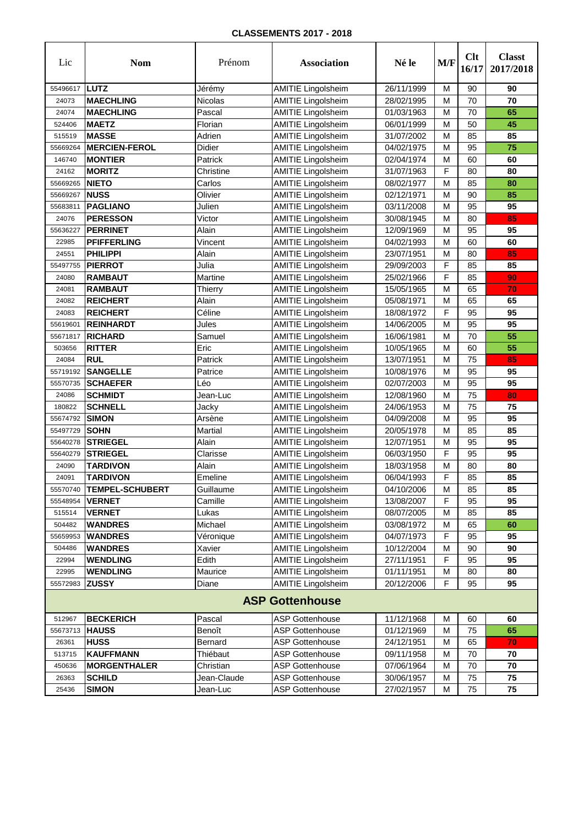| Lic      | <b>Nom</b>             | Prénom        | <b>Association</b>        | Né le      | M/F | Clt<br>16/17 | <b>Classt</b><br>2017/2018 |
|----------|------------------------|---------------|---------------------------|------------|-----|--------------|----------------------------|
| 55496617 | <b>ILUTZ</b>           | Jérémy        | <b>AMITIE</b> Lingolsheim | 26/11/1999 | M   | 90           | 90                         |
| 24073    | <b>MAECHLING</b>       | Nicolas       | <b>AMITIE Lingolsheim</b> | 28/02/1995 | M   | 70           | 70                         |
| 24074    | <b>MAECHLING</b>       | Pascal        | <b>AMITIE Lingolsheim</b> | 01/03/1963 | M   | 70           | 65                         |
| 524406   | <b>MAETZ</b>           | Florian       | <b>AMITIE Lingolsheim</b> | 06/01/1999 | M   | 50           | 45                         |
| 515519   | <b>MASSE</b>           | Adrien        | <b>AMITIE Lingolsheim</b> | 31/07/2002 | M   | 85           | 85                         |
| 55669264 | <b>MERCIEN-FEROL</b>   | <b>Didier</b> | <b>AMITIE Lingolsheim</b> | 04/02/1975 | M   | 95           | 75                         |
| 146740   | <b>MONTIER</b>         | Patrick       | <b>AMITIE Lingolsheim</b> | 02/04/1974 | M   | 60           | 60                         |
| 24162    | <b>MORITZ</b>          | Christine     | <b>AMITIE Lingolsheim</b> | 31/07/1963 | F   | 80           | 80                         |
| 55669265 | <b>NIETO</b>           | Carlos        | <b>AMITIE Lingolsheim</b> | 08/02/1977 | M   | 85           | 80                         |
| 55669267 | <b>NUSS</b>            | Olivier       | <b>AMITIE Lingolsheim</b> | 02/12/1971 | M   | 90           | 85                         |
| 55683811 | <b>PAGLIANO</b>        | Julien        | <b>AMITIE Lingolsheim</b> | 03/11/2008 | M   | 95           | 95                         |
| 24076    | <b>PERESSON</b>        | Victor        | <b>AMITIE Lingolsheim</b> | 30/08/1945 | M   | 80           | 85                         |
| 55636227 | <b>PERRINET</b>        | Alain         | <b>AMITIE Lingolsheim</b> | 12/09/1969 | M   | 95           | 95                         |
| 22985    | <b>PFIFFERLING</b>     | Vincent       | <b>AMITIE Lingolsheim</b> | 04/02/1993 | M   | 60           | 60                         |
| 24551    | <b>PHILIPPI</b>        | Alain         | <b>AMITIE Lingolsheim</b> | 23/07/1951 | M   | 80           | 85                         |
| 55497755 | <b>PIERROT</b>         | Julia         | <b>AMITIE Lingolsheim</b> | 29/09/2003 | F   | 85           | 85                         |
| 24080    | <b>RAMBAUT</b>         | Martine       | <b>AMITIE Lingolsheim</b> | 25/02/1966 | F   | 85           | 90                         |
| 24081    | <b>RAMBAUT</b>         | Thierry       | <b>AMITIE Lingolsheim</b> | 15/05/1965 | M   | 65           | 70                         |
| 24082    | <b>REICHERT</b>        | Alain         | <b>AMITIE Lingolsheim</b> | 05/08/1971 | M   | 65           | 65                         |
| 24083    | <b>REICHERT</b>        | Céline        | <b>AMITIE Lingolsheim</b> | 18/08/1972 | F   | 95           | 95                         |
| 55619601 | <b>REINHARDT</b>       | Jules         | <b>AMITIE Lingolsheim</b> | 14/06/2005 | M   | 95           | 95                         |
| 55671817 | <b>RICHARD</b>         | Samuel        | <b>AMITIE Lingolsheim</b> | 16/06/1981 | M   | 70           | 55                         |
| 503656   | <b>RITTER</b>          | Eric          | <b>AMITIE Lingolsheim</b> | 10/05/1965 | M   | 60           | 55                         |
| 24084    | <b>RUL</b>             | Patrick       | <b>AMITIE Lingolsheim</b> | 13/07/1951 | M   | 75           | 85                         |
| 55719192 | <b>SANGELLE</b>        | Patrice       | <b>AMITIE Lingolsheim</b> | 10/08/1976 | M   | 95           | 95                         |
| 55570735 | <b>SCHAEFER</b>        | Léo           | <b>AMITIE Lingolsheim</b> | 02/07/2003 | M   | 95           | 95                         |
| 24086    | <b>SCHMIDT</b>         | Jean-Luc      | <b>AMITIE Lingolsheim</b> | 12/08/1960 | M   | 75           | 80                         |
| 180822   | <b>SCHNELL</b>         | Jacky         | <b>AMITIE Lingolsheim</b> | 24/06/1953 | M   | 75           | 75                         |
| 55674792 | <b>SIMON</b>           | Arsène        | <b>AMITIE Lingolsheim</b> | 04/09/2008 | M   | 95           | 95                         |
| 55497729 | <b>SOHN</b>            | Martial       | <b>AMITIE Lingolsheim</b> | 20/05/1978 | M   | 85           | 85                         |
| 55640278 | <b>STRIEGEL</b>        | Alain         | <b>AMITIE Lingolsheim</b> | 12/07/1951 | M   | 95           | 95                         |
| 55640279 | <b>STRIEGEL</b>        | Clarisse      | <b>AMITIE Lingolsheim</b> | 06/03/1950 | F   | 95           | 95                         |
| 24090    | <b>TARDIVON</b>        | Alain         | <b>AMITIE Lingolsheim</b> | 18/03/1958 | M   | 80           | 80                         |
| 24091    | <b>TARDIVON</b>        | Emeline       | <b>AMITIE Lingolsheim</b> | 06/04/1993 | F   | 85           | 85                         |
| 55570740 | <b>TEMPEL-SCHUBERT</b> | Guillaume     | <b>AMITIE Lingolsheim</b> | 04/10/2006 | M   | 85           | 85                         |
| 55548954 | <b>VERNET</b>          | Camille       | <b>AMITIE Lingolsheim</b> | 13/08/2007 | F   | 95           | 95                         |
| 515514   | <b>VERNET</b>          | Lukas         | <b>AMITIE Lingolsheim</b> | 08/07/2005 | M   | 85           | 85                         |
| 504482   | <b>WANDRES</b>         | Michael       | <b>AMITIE Lingolsheim</b> | 03/08/1972 | M   | 65           | 60                         |
| 55659953 | <b>WANDRES</b>         | Véronique     | <b>AMITIE Lingolsheim</b> | 04/07/1973 | F   | 95           | 95                         |
| 504486   | <b>WANDRES</b>         | Xavier        | <b>AMITIE Lingolsheim</b> | 10/12/2004 | М   | 90           | 90                         |
| 22994    | <b>WENDLING</b>        | Edith         | <b>AMITIE Lingolsheim</b> | 27/11/1951 | F   | 95           | 95                         |
| 22995    | <b>WENDLING</b>        | Maurice       | <b>AMITIE Lingolsheim</b> | 01/11/1951 | M   | 80           | 80                         |
| 55572983 | <b>ZUSSY</b>           | Diane         | <b>AMITIE Lingolsheim</b> | 20/12/2006 | F   | 95           | 95                         |
|          |                        |               | <b>ASP Gottenhouse</b>    |            |     |              |                            |
| 512967   | <b>BECKERICH</b>       | Pascal        | <b>ASP Gottenhouse</b>    | 11/12/1968 | M   | 60           | 60                         |
| 55673713 | <b>HAUSS</b>           | Benoît        | <b>ASP Gottenhouse</b>    | 01/12/1969 | M   | 75           | 65                         |
| 26361    | <b>HUSS</b>            | Bernard       | <b>ASP Gottenhouse</b>    | 24/12/1951 | M   | 65           | 70                         |
| 513715   | <b>KAUFFMANN</b>       | Thiébaut      | <b>ASP Gottenhouse</b>    | 09/11/1958 | M   | 70           | 70                         |
| 450636   | <b>MORGENTHALER</b>    | Christian     | <b>ASP Gottenhouse</b>    | 07/06/1964 | M   | 70           | 70                         |
| 26363    | <b>SCHILD</b>          | Jean-Claude   | <b>ASP Gottenhouse</b>    | 30/06/1957 | М   | 75           | 75                         |
| 25436    | <b>SIMON</b>           | Jean-Luc      | <b>ASP Gottenhouse</b>    | 27/02/1957 | М   | 75           | 75                         |
|          |                        |               |                           |            |     |              |                            |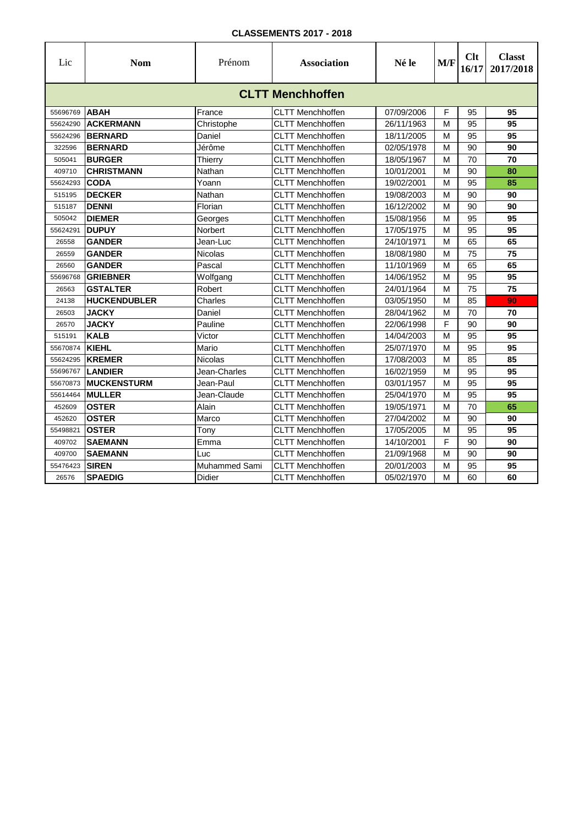| Lic      | <b>Nom</b>              | Prénom         | <b>Association</b>      | Né le      | M/F | Clt<br>16/17 | <b>Classt</b><br>2017/2018 |  |  |  |  |
|----------|-------------------------|----------------|-------------------------|------------|-----|--------------|----------------------------|--|--|--|--|
|          | <b>CLTT Menchhoffen</b> |                |                         |            |     |              |                            |  |  |  |  |
| 55696769 | <b>ABAH</b>             | France         | <b>CLTT Menchhoffen</b> | 07/09/2006 | F   | 95           | 95                         |  |  |  |  |
| 55624290 | <b>ACKERMANN</b>        | Christophe     | <b>CLTT Menchhoffen</b> | 26/11/1963 | M   | 95           | 95                         |  |  |  |  |
| 55624296 | <b>BERNARD</b>          | Daniel         | <b>CLTT Menchhoffen</b> | 18/11/2005 | M   | 95           | 95                         |  |  |  |  |
| 322596   | <b>BERNARD</b>          | Jérôme         | <b>CLTT Menchhoffen</b> | 02/05/1978 | M   | 90           | 90                         |  |  |  |  |
| 505041   | <b>BURGER</b>           | Thierry        | <b>CLTT Menchhoffen</b> | 18/05/1967 | M   | 70           | 70                         |  |  |  |  |
| 409710   | <b>CHRISTMANN</b>       | Nathan         | <b>CLTT Menchhoffen</b> | 10/01/2001 | M   | 90           | 80                         |  |  |  |  |
| 55624293 | <b>CODA</b>             | Yoann          | <b>CLTT Menchhoffen</b> | 19/02/2001 | M   | 95           | 85                         |  |  |  |  |
| 515195   | <b>DECKER</b>           | Nathan         | <b>CLTT Menchhoffen</b> | 19/08/2003 | M   | 90           | 90                         |  |  |  |  |
| 515187   | <b>DENNI</b>            | Florian        | <b>CLTT Menchhoffen</b> | 16/12/2002 | M   | 90           | 90                         |  |  |  |  |
| 505042   | <b>DIEMER</b>           | Georges        | <b>CLTT Menchhoffen</b> | 15/08/1956 | M   | 95           | 95                         |  |  |  |  |
| 55624291 | <b>DUPUY</b>            | Norbert        | CLTT Menchhoffen        | 17/05/1975 | м   | 95           | 95                         |  |  |  |  |
| 26558    | <b>GANDER</b>           | Jean-Luc       | <b>CLTT Menchhoffen</b> | 24/10/1971 | M   | 65           | 65                         |  |  |  |  |
| 26559    | <b>GANDER</b>           | <b>Nicolas</b> | <b>CLTT Menchhoffen</b> | 18/08/1980 | M   | 75           | 75                         |  |  |  |  |
| 26560    | <b>GANDER</b>           | Pascal         | <b>CLTT Menchhoffen</b> | 11/10/1969 | M   | 65           | 65                         |  |  |  |  |
| 55696768 | <b>GRIEBNER</b>         | Wolfgang       | CLTT Menchhoffen        | 14/06/1952 | м   | 95           | 95                         |  |  |  |  |
| 26563    | <b>GSTALTER</b>         | Robert         | <b>CLTT Menchhoffen</b> | 24/01/1964 | M   | 75           | 75                         |  |  |  |  |
| 24138    | <b>HUCKENDUBLER</b>     | Charles        | <b>CLTT Menchhoffen</b> | 03/05/1950 | M   | 85           | 90                         |  |  |  |  |
| 26503    | <b>JACKY</b>            | Daniel         | <b>CLTT Menchhoffen</b> | 28/04/1962 | M   | 70           | 70                         |  |  |  |  |
| 26570    | <b>JACKY</b>            | Pauline        | <b>CLTT Menchhoffen</b> | 22/06/1998 | F   | 90           | 90                         |  |  |  |  |
| 515191   | <b>KALB</b>             | Victor         | CLTT Menchhoffen        | 14/04/2003 | M   | 95           | 95                         |  |  |  |  |
| 55670874 | <b>KIEHL</b>            | Mario          | CLTT Menchhoffen        | 25/07/1970 | M   | 95           | 95                         |  |  |  |  |
| 55624295 | <b>KREMER</b>           | Nicolas        | CLTT Menchhoffen        | 17/08/2003 | M   | 85           | 85                         |  |  |  |  |
| 55696767 | <b>LANDIER</b>          | Jean-Charles   | CLTT Menchhoffen        | 16/02/1959 | М   | 95           | 95                         |  |  |  |  |
| 55670873 | <b>MUCKENSTURM</b>      | Jean-Paul      | CLTT Menchhoffen        | 03/01/1957 | М   | 95           | 95                         |  |  |  |  |
| 55614464 | <b>MULLER</b>           | Jean-Claude    | <b>CLTT Menchhoffen</b> | 25/04/1970 | M   | 95           | 95                         |  |  |  |  |
| 452609   | <b>OSTER</b>            | Alain          | <b>CLTT Menchhoffen</b> | 19/05/1971 | M   | 70           | 65                         |  |  |  |  |
| 452620   | <b>OSTER</b>            | Marco          | CLTT Menchhoffen        | 27/04/2002 | M   | 90           | 90                         |  |  |  |  |
| 55498821 | <b>OSTER</b>            | Tony           | <b>CLTT Menchhoffen</b> | 17/05/2005 | M   | 95           | 95                         |  |  |  |  |
| 409702   | <b>SAEMANN</b>          | Emma           | <b>CLTT Menchhoffen</b> | 14/10/2001 | F   | 90           | 90                         |  |  |  |  |
| 409700   | <b>SAEMANN</b>          | Luc            | CLTT Menchhoffen        | 21/09/1968 | M   | 90           | 90                         |  |  |  |  |
| 55476423 | <b>SIREN</b>            | Muhammed Sami  | <b>CLTT Menchhoffen</b> | 20/01/2003 | M   | 95           | 95                         |  |  |  |  |
| 26576    | <b>SPAEDIG</b>          | Didier         | <b>CLTT Menchhoffen</b> | 05/02/1970 | M   | 60           | 60                         |  |  |  |  |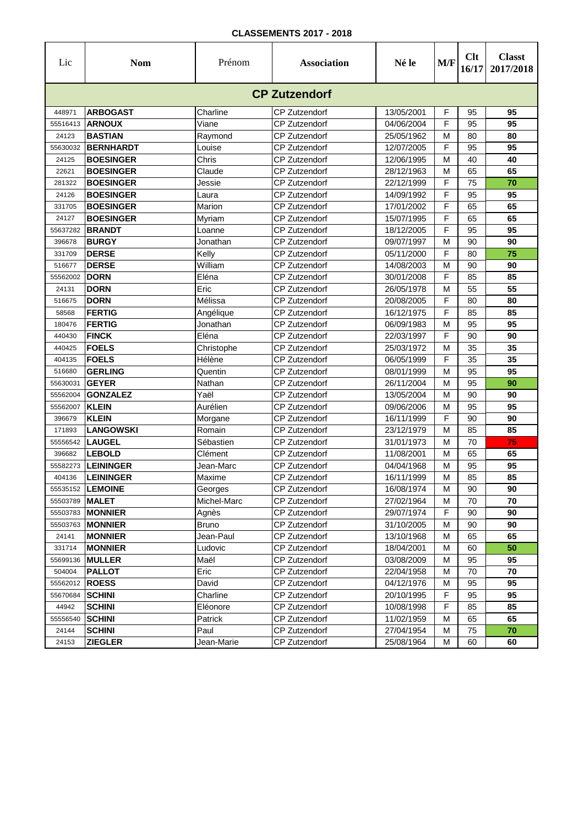| Lic                  | <b>Nom</b>                     | Prénom         | <b>Association</b>                           | Né le                    | M/F    | Clt<br>16/17 | <b>Classt</b><br>2017/2018 |
|----------------------|--------------------------------|----------------|----------------------------------------------|--------------------------|--------|--------------|----------------------------|
|                      |                                |                | <b>CP Zutzendorf</b>                         |                          |        |              |                            |
| 448971               | <b>ARBOGAST</b>                | Charline       | CP Zutzendorf                                | 13/05/2001               | F      | 95           | 95                         |
| 55516413             | <b>ARNOUX</b>                  | Viane          | <b>CP Zutzendorf</b>                         | 04/06/2004               | F      | 95           | 95                         |
| 24123                | <b>BASTIAN</b>                 | Raymond        | <b>CP Zutzendorf</b>                         | 25/05/1962               | М      | 80           | 80                         |
| 55630032             | <b>BERNHARDT</b>               | Louise         | <b>CP Zutzendorf</b>                         | 12/07/2005               | F      | 95           | 95                         |
| 24125                | <b>BOESINGER</b>               | Chris          | <b>CP Zutzendorf</b>                         | 12/06/1995               | М      | 40           | 40                         |
| 22621                | <b>BOESINGER</b>               | Claude         | <b>CP Zutzendorf</b>                         | 28/12/1963               | М      | 65           | 65                         |
| 281322               | <b>BOESINGER</b>               | Jessie         | <b>CP Zutzendorf</b>                         | 22/12/1999               | F      | 75           | 70                         |
| 24126                | <b>BOESINGER</b>               | Laura          | CP Zutzendorf                                | 14/09/1992               | F      | 95           | 95                         |
| 331705               | <b>BOESINGER</b>               | Marion         | <b>CP Zutzendorf</b>                         | 17/01/2002               | F      | 65           | 65                         |
| 24127                | <b>BOESINGER</b>               | Myriam         | <b>CP Zutzendorf</b>                         | 15/07/1995               | F      | 65           | 65                         |
| 55637282             | <b>BRANDT</b>                  | Loanne         | <b>CP Zutzendorf</b>                         | 18/12/2005               | F      | 95           | 95                         |
| 396678               | <b>BURGY</b>                   | Jonathan       | <b>CP Zutzendorf</b>                         | 09/07/1997               | М      | 90           | 90                         |
| 331709               | <b>DERSE</b>                   | Kelly          | <b>CP Zutzendorf</b>                         | 05/11/2000               | F      | 80           | 75                         |
| 516677               | <b>DERSE</b>                   | William        | <b>CP Zutzendorf</b>                         | 14/08/2003               | М      | 90           | 90                         |
| 55562002             | <b>DORN</b>                    | Eléna          | <b>CP Zutzendorf</b>                         | 30/01/2008               | F      | 85           | 85                         |
| 24131                | <b>DORN</b>                    | Eric           | CP Zutzendorf                                | 26/05/1978               | М      | 55           | 55                         |
| 516675               | <b>DORN</b>                    | Mélissa        | <b>CP Zutzendorf</b>                         | 20/08/2005               | F      | 80           | 80                         |
| 58568                | <b>FERTIG</b>                  | Angélique      | <b>CP Zutzendorf</b>                         | 16/12/1975               | F      | 85           | 85                         |
| 180476               | <b>FERTIG</b>                  | Jonathan       | <b>CP Zutzendorf</b>                         | 06/09/1983               | М      | 95           | 95                         |
| 440430               | <b>FINCK</b>                   | Eléna          | <b>CP Zutzendorf</b>                         | 22/03/1997               | F      | 90           | 90                         |
| 440425               | <b>FOELS</b>                   | Christophe     | <b>CP Zutzendorf</b>                         | 25/03/1972               | М      | 35           | 35                         |
| 404135               | <b>FOELS</b>                   | Hélène         | <b>CP Zutzendorf</b>                         | 06/05/1999               | F      | 35           | 35                         |
| 516680               | <b>GERLING</b><br><b>GEYER</b> | Quentin        | <b>CP Zutzendorf</b>                         | 08/01/1999               | М      | 95           | 95<br>90                   |
| 55630031<br>55562004 | <b>GONZALEZ</b>                | Nathan<br>Yaël | <b>CP Zutzendorf</b><br><b>CP Zutzendorf</b> | 26/11/2004<br>13/05/2004 | М<br>М | 95<br>90     | 90                         |
| 55562007             | <b>KLEIN</b>                   | Aurélien       | <b>CP Zutzendorf</b>                         | 09/06/2006               | М      | 95           | 95                         |
| 396679               | <b>KLEIN</b>                   | Morgane        | <b>CP Zutzendorf</b>                         | 16/11/1999               | F      | 90           | 90                         |
| 171893               | <b>LANGOWSKI</b>               | Romain         | <b>CP Zutzendorf</b>                         | 23/12/1979               | М      | 85           | 85                         |
| 55556542             | <b>LAUGEL</b>                  | Sébastien      | <b>CP Zutzendorf</b>                         | 31/01/1973               | М      | 70           | 75                         |
| 396682               | <b>LEBOLD</b>                  | Clément        | <b>CP Zutzendorf</b>                         | 11/08/2001               | М      | 65           | 65                         |
| 55582273             | <b>LEININGER</b>               | Jean-Marc      | <b>CP Zutzendorf</b>                         | 04/04/1968               | М      | 95           | 95                         |
| 404136               | <b>LEININGER</b>               | Maxime         | <b>CP Zutzendorf</b>                         | 16/11/1999               | М      | 85           | 85                         |
|                      | 55535152 LEMOINE               | Georges        | CP Zutzendorf                                | 16/08/1974               | м      | 90           | 90                         |
| 55503789 MALET       |                                | Michel-Marc    | <b>CP Zutzendorf</b>                         | 27/02/1964               | М      | 70           | 70                         |
|                      | 55503783 MONNIER               | Agnès          | <b>CP Zutzendorf</b>                         | 29/07/1974               | F      | 90           | 90                         |
| 55503763             | <b>MONNIER</b>                 | <b>Bruno</b>   | <b>CP Zutzendorf</b>                         | 31/10/2005               | M      | 90           | 90                         |
| 24141                | <b>MONNIER</b>                 | Jean-Paul      | CP Zutzendorf                                | 13/10/1968               | М      | 65           | 65                         |
| 331714               | <b>MONNIER</b>                 | Ludovic        | CP Zutzendorf                                | 18/04/2001               | М      | 60           | 50                         |
| 55699136             | <b>MULLER</b>                  | Maël           | <b>CP Zutzendorf</b>                         | 03/08/2009               | М      | 95           | 95                         |
| 504004               | <b>PALLOT</b>                  | Eric           | CP Zutzendorf                                | 22/04/1958               | М      | 70           | 70                         |
| 55562012             | <b>ROESS</b>                   | David          | CP Zutzendorf                                | 04/12/1976               | М      | 95           | 95                         |
| 55670684             | <b>SCHINI</b>                  | Charline       | CP Zutzendorf                                | 20/10/1995               | F      | 95           | 95                         |
| 44942                | <b>SCHINI</b>                  | Eléonore       | CP Zutzendorf                                | 10/08/1998               | F      | 85           | 85                         |
| 55556540             | <b>SCHINI</b>                  | Patrick        | CP Zutzendorf                                | 11/02/1959               | M      | 65           | 65                         |
| 24144                | <b>SCHINI</b>                  | Paul           | <b>CP Zutzendorf</b>                         | 27/04/1954               | м      | 75           | 70                         |
| 24153                | <b>ZIEGLER</b>                 | Jean-Marie     | CP Zutzendorf                                | 25/08/1964               | м      | 60           | 60                         |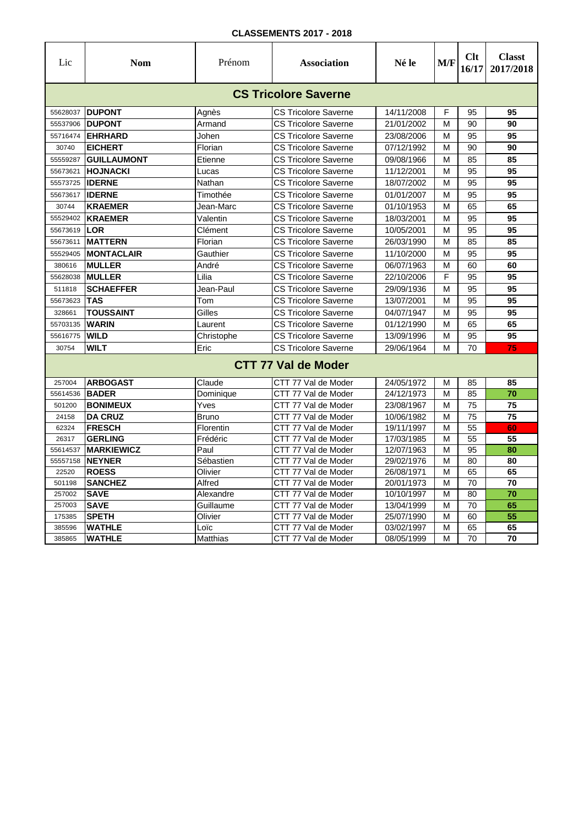| Lic              | <b>Nom</b>                    | Prénom          | <b>Association</b>                         | Né le                    | M/F    | Clt<br>16/17 | <b>Classt</b><br>2017/2018 |
|------------------|-------------------------------|-----------------|--------------------------------------------|--------------------------|--------|--------------|----------------------------|
|                  |                               |                 | <b>CS Tricolore Saverne</b>                |                          |        |              |                            |
|                  | 55628037 DUPONT               | Agnès           | CS Tricolore Saverne                       | 14/11/2008               | F      | 95           | 95                         |
| 55537906         | <b>DUPONT</b>                 | Armand          | CS Tricolore Saverne                       | 21/01/2002               | M      | 90           | 90                         |
| 55716474         | <b>EHRHARD</b>                | Johen           | <b>CS Tricolore Saverne</b>                | 23/08/2006               | M      | 95           | 95                         |
| 30740            | <b>EICHERT</b>                | Florian         | CS Tricolore Saverne                       | 07/12/1992               | M      | 90           | 90                         |
| 55559287         | <b>GUILLAUMONT</b>            | Etienne         | CS Tricolore Saverne                       | 09/08/1966               | M      | 85           | 85                         |
| 55673621         | <b>IHOJNACKI</b>              | Lucas           | CS Tricolore Saverne                       | 11/12/2001               | M      | 95           | 95                         |
| 55573725         | <b>IDERNE</b>                 | Nathan          | <b>CS Tricolore Saverne</b>                | 18/07/2002               | M      | 95           | 95                         |
| 55673617         | <b>IDERNE</b>                 | Timothée        | <b>CS Tricolore Saverne</b>                | 01/01/2007               | M      | 95           | 95                         |
| 30744            | <b>KRAEMER</b>                | Jean-Marc       | <b>CS Tricolore Saverne</b>                | 01/10/1953               | M      | 65           | 65                         |
| 55529402         | <b>KRAEMER</b>                | Valentin        | <b>CS Tricolore Saverne</b>                | 18/03/2001               | M      | 95           | 95                         |
| 55673619         | <b>LOR</b>                    | Clément         | <b>CS Tricolore Saverne</b>                | 10/05/2001               | M      | 95           | 95                         |
| 55673611         | <b>MATTERN</b>                | Florian         | <b>CS Tricolore Saverne</b>                | 26/03/1990               | M      | 85           | 85                         |
| 55529405         | <b>MONTACLAIR</b>             | Gauthier        | <b>CS Tricolore Saverne</b>                | 11/10/2000               | M      | 95           | 95                         |
| 380616           | <b>MULLER</b>                 | André           | <b>CS Tricolore Saverne</b>                | 06/07/1963               | M      | 60           | 60                         |
| 55628038         | <b>MULLER</b>                 | Lilia           | <b>CS Tricolore Saverne</b>                | 22/10/2006               | F      | 95           | 95                         |
| 511818           | <b>SCHAEFFER</b>              | Jean-Paul       | <b>CS Tricolore Saverne</b>                | 29/09/1936               | M      | 95           | 95                         |
| 55673623         | <b>TAS</b>                    | Tom             | <b>CS Tricolore Saverne</b>                | 13/07/2001               | M      | 95           | 95                         |
| 328661           | <b>TOUSSAINT</b>              | Gilles          | <b>CS Tricolore Saverne</b>                | 04/07/1947               | M      | 95           | 95                         |
| 55703135         | <b>WARIN</b>                  | Laurent         | <b>CS Tricolore Saverne</b>                | 01/12/1990               | M      | 65           | 65                         |
| 55616775         | <b>WILD</b>                   | Christophe      | <b>CS Tricolore Saverne</b>                | 13/09/1996               | M      | 95           | 95                         |
| 30754            | WILT                          | Eric            | <b>CS Tricolore Saverne</b>                | 29/06/1964               | М      | 70           | 75                         |
|                  |                               |                 | <b>CTT 77 Val de Moder</b>                 |                          |        |              |                            |
| 257004           | <b>ARBOGAST</b>               | Claude          | CTT 77 Val de Moder                        | 24/05/1972               | м      | 85           | 85                         |
| 55614536         | <b>BADER</b>                  | Dominique       | CTT 77 Val de Moder                        | 24/12/1973               | M      | 85           | 70                         |
| 501200           | <b>BONIMEUX</b>               | Yves            | CTT 77 Val de Moder                        | 23/08/1967               | M      | 75           | 75                         |
| 24158            | <b>DA CRUZ</b>                | <b>Bruno</b>    | CTT 77 Val de Moder                        | 10/06/1982               | M      | 75           | 75                         |
| 62324            | <b>FRESCH</b>                 | Florentin       | CTT 77 Val de Moder                        | 19/11/1997               | M      | 55           | 60                         |
| 26317            | <b>GERLING</b>                | Frédéric        | CTT 77 Val de Moder                        | 17/03/1985               | M      | 55           | 55                         |
| 55614537         | <b>MARKIEWICZ</b>             | Paul            | CTT 77 Val de Moder                        | 12/07/1963               | М      | 95           | 80                         |
| 55557158         | <b>NEYNER</b>                 | Sébastien       | CTT 77 Val de Moder                        | 29/02/1976               | M      | 80           | 80                         |
| 22520            | <b>ROESS</b>                  | Olivier         | CTT 77 Val de Moder                        | 26/08/1971               | M      | 65           | 65                         |
| 501198           | <b>SANCHEZ</b>                | Alfred          | CTT 77 Val de Moder                        | 20/01/1973               | М      | 70           | 70                         |
| 257002           | <b>SAVE</b>                   | Alexandre       | CTT 77 Val de Moder                        | 10/10/1997               | M      | 80           | 70<br>65                   |
| 257003<br>175385 | <b>SAVE</b>                   | Guillaume       | CTT 77 Val de Moder                        | 13/04/1999               | M      | 70           |                            |
| 385596           | <b>SPETH</b><br><b>WATHLE</b> | Olivier<br>Loïc | CTT 77 Val de Moder<br>CTT 77 Val de Moder | 25/07/1990<br>03/02/1997 | M<br>М | 60<br>65     | 55<br>65                   |
| 385865           | <b>WATHLE</b>                 | Matthias        | CTT 77 Val de Moder                        | 08/05/1999               | M      | 70           | 70                         |
|                  |                               |                 |                                            |                          |        |              |                            |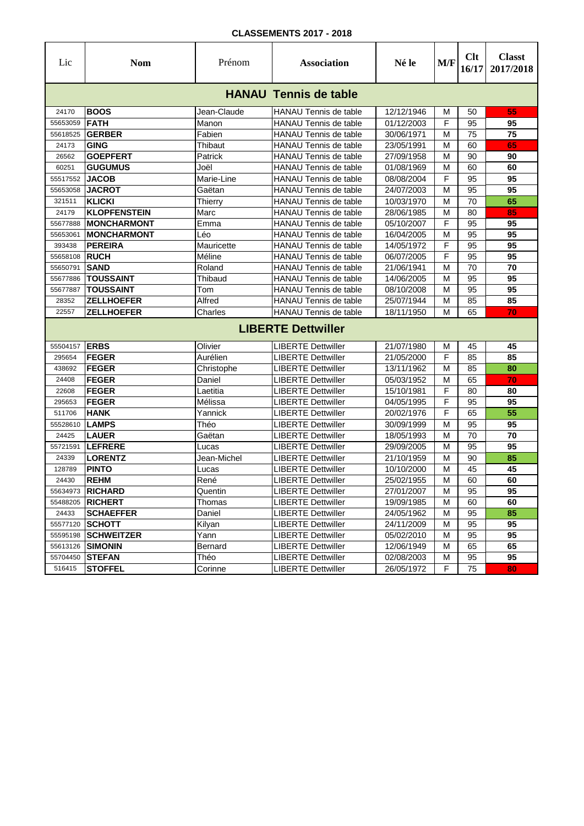| Lic                       | <b>Nom</b>                     | Prénom          | <b>Association</b>                                    | Né le                    | M/F    | Clt<br>16/17 | <b>Classt</b><br>2017/2018 |  |  |  |
|---------------------------|--------------------------------|-----------------|-------------------------------------------------------|--------------------------|--------|--------------|----------------------------|--|--|--|
|                           |                                |                 | <b>HANAU Tennis de table</b>                          |                          |        |              |                            |  |  |  |
| 24170                     | <b>BOOS</b>                    | Jean-Claude     | <b>HANAU Tennis de table</b>                          | 12/12/1946               | М      | 50           | 55                         |  |  |  |
| 55653059                  | <b>FATH</b>                    | Manon           | <b>HANAU Tennis de table</b>                          | 01/12/2003               | F      | 95           | 95                         |  |  |  |
| 55618525                  | <b>GERBER</b>                  | Fabien          | <b>HANAU Tennis de table</b>                          | 30/06/1971               | M      | 75           | 75                         |  |  |  |
| 24173                     | <b>GING</b>                    | Thibaut         | <b>HANAU Tennis de table</b>                          | 23/05/1991               | M      | 60           | 65                         |  |  |  |
| 26562                     | <b>GOEPFERT</b>                | Patrick         | HANAU Tennis de table                                 | 27/09/1958               | M      | 90           | 90                         |  |  |  |
| 60251                     | <b>GUGUMUS</b>                 | Joël            | HANAU Tennis de table                                 | 01/08/1969               | M      | 60           | 60                         |  |  |  |
| 55517552                  | <b>JACOB</b>                   | Marie-Line      | HANAU Tennis de table                                 | 08/08/2004               | F      | 95           | 95                         |  |  |  |
| 55653058                  | <b>JACROT</b><br><b>KLICKI</b> | Gaëtan          | <b>HANAU Tennis de table</b>                          | 24/07/2003               | M<br>M | 95           | 95<br>65                   |  |  |  |
| 321511<br>24179           | <b>KLOPFENSTEIN</b>            | Thierry<br>Marc | <b>HANAU Tennis de table</b><br>HANAU Tennis de table | 10/03/1970<br>28/06/1985 | M      | 70<br>80     | 85                         |  |  |  |
| 55677888                  | <b>MONCHARMONT</b>             | Emma            | HANAU Tennis de table                                 | 05/10/2007               | F      | 95           | 95                         |  |  |  |
| 55653061                  | <b>MONCHARMONT</b>             | Léo             | HANAU Tennis de table                                 | 16/04/2005               | M      | 95           | 95                         |  |  |  |
| 393438                    | <b>PEREIRA</b>                 | Mauricette      | <b>HANAU Tennis de table</b>                          | 14/05/1972               | F      | 95           | 95                         |  |  |  |
| 55658108                  | <b>RUCH</b>                    | Méline          | <b>HANAU Tennis de table</b>                          | 06/07/2005               | F      | 95           | 95                         |  |  |  |
| 55650791                  | <b>SAND</b>                    | Roland          | HANAU Tennis de table                                 | 21/06/1941               | M      | 70           | 70                         |  |  |  |
| 55677886                  | <b>TOUSSAINT</b>               | Thibaud         | HANAU Tennis de table                                 | 14/06/2005               | M      | 95           | 95                         |  |  |  |
| 55677887                  | <b>TOUSSAINT</b>               | Tom             | <b>HANAU Tennis de table</b>                          | 08/10/2008               | M      | 95           | 95                         |  |  |  |
| 28352                     | <b>ZELLHOEFER</b>              | Alfred          | <b>HANAU Tennis de table</b>                          | 25/07/1944               | M      | 85           | 85                         |  |  |  |
| 22557                     | <b>ZELLHOEFER</b>              | Charles         | <b>HANAU Tennis de table</b>                          | 18/11/1950               | М      | 65           | 70                         |  |  |  |
| <b>LIBERTE Dettwiller</b> |                                |                 |                                                       |                          |        |              |                            |  |  |  |
| 55504157                  | <b>ERBS</b>                    | Olivier         | <b>LIBERTE Dettwiller</b>                             | 21/07/1980               | м      | 45           | 45                         |  |  |  |
| 295654                    | <b>FEGER</b>                   | Aurélien        | <b>LIBERTE Dettwiller</b>                             | 21/05/2000               | F      | 85           | 85                         |  |  |  |
| 438692                    | <b>FEGER</b>                   | Christophe      | <b>LIBERTE Dettwiller</b>                             | 13/11/1962               | M      | 85           | 80                         |  |  |  |
| 24408                     | <b>FEGER</b>                   | Daniel          | <b>LIBERTE Dettwiller</b>                             | 05/03/1952               | M      | 65           | 70                         |  |  |  |
| 22608                     | <b>FEGER</b>                   | Laetitia        | <b>LIBERTE Dettwiller</b>                             | 15/10/1981               | F      | 80           | 80                         |  |  |  |
| 295653                    | <b>FEGER</b>                   | Mélissa         | <b>LIBERTE Dettwiller</b>                             | 04/05/1995               | F      | 95           | 95                         |  |  |  |
| 511706                    | <b>HANK</b>                    | Yannick         | <b>LIBERTE Dettwiller</b>                             | 20/02/1976               | F      | 65           | 55                         |  |  |  |
| 55528610                  | <b>LAMPS</b>                   | Théo            | <b>LIBERTE Dettwiller</b>                             | 30/09/1999               | M      | 95           | 95                         |  |  |  |
| 24425                     | <b>LAUER</b>                   | Gaëtan          | LIBERTE Dettwiller                                    | 18/05/1993               | M      | 70           | 70                         |  |  |  |
| 55721591                  | <b>LEFRERE</b>                 | Lucas           | <b>LIBERTE Dettwiller</b>                             | 29/09/2005               | M      | 95           | 95                         |  |  |  |
| 24339                     | <b>LORENTZ</b><br><b>PINTO</b> | Jean-Michel     | <b>LIBERTE Dettwiller</b><br>LIBERTE Dettwiller       | 21/10/1959<br>10/10/2000 | M<br>М | 90<br>45     | 85<br>45                   |  |  |  |
| 128789<br>24430           | <b>REHM</b>                    | Lucas<br>René   | LIBERTE Dettwiller                                    | 25/02/1955               | M      | 60           | 60                         |  |  |  |
|                           | 55634973 RICHARD               | Quentin         | <b>LIBERTE Dettwiller</b>                             | 27/01/2007               | M      | 95           | 95                         |  |  |  |
| 55488205                  | <b>RICHERT</b>                 | Thomas          | <b>LIBERTE Dettwiller</b>                             | 19/09/1985               | M      | 60           | 60                         |  |  |  |
| 24433                     | <b>SCHAEFFER</b>               | Daniel          | <b>LIBERTE Dettwiller</b>                             | 24/05/1962               | M      | 95           | 85                         |  |  |  |
| 55577120                  | <b>SCHOTT</b>                  | Kilyan          | <b>LIBERTE Dettwiller</b>                             | 24/11/2009               | M      | 95           | 95                         |  |  |  |
| 55595198                  | <b>SCHWEITZER</b>              | Yann            | <b>LIBERTE Dettwiller</b>                             | 05/02/2010               | М      | 95           | 95                         |  |  |  |
| 55613126                  | <b>SIMONIN</b>                 | Bernard         | <b>LIBERTE Dettwiller</b>                             | 12/06/1949               | M      | 65           | 65                         |  |  |  |
| 55704450                  | <b>STEFAN</b>                  | Théo            | <b>LIBERTE Dettwiller</b>                             | 02/08/2003               | M      | 95           | 95                         |  |  |  |
| 516415                    | <b>STOFFEL</b>                 | Corinne         | <b>LIBERTE Dettwiller</b>                             | 26/05/1972               | F      | 75           | 80                         |  |  |  |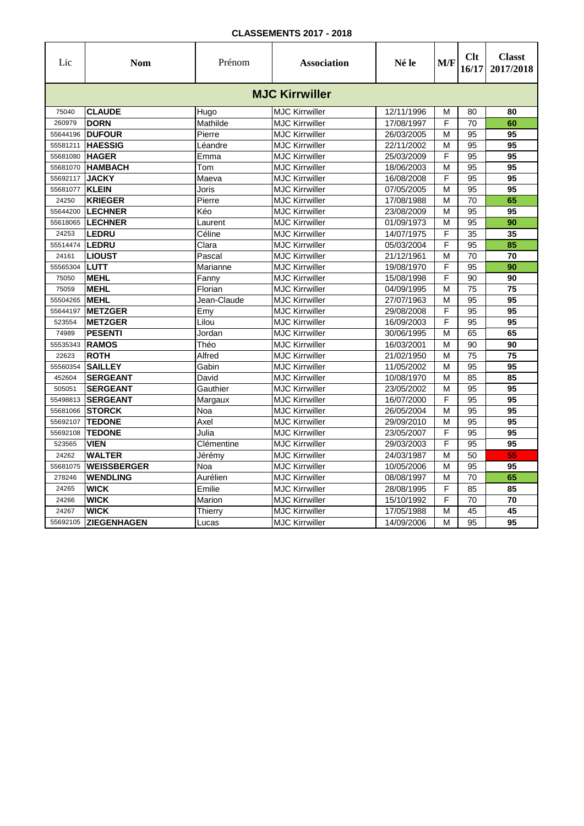| Lic      | <b>Nom</b>         | Prénom      | <b>Association</b>    | Né le      | M/F | Clt<br>16/17    | <b>Classt</b><br>2017/2018 |
|----------|--------------------|-------------|-----------------------|------------|-----|-----------------|----------------------------|
|          |                    |             | <b>MJC Kirrwiller</b> |            |     |                 |                            |
| 75040    | <b>CLAUDE</b>      | Hugo        | <b>MJC Kirrwiller</b> | 12/11/1996 | M   | 80              | 80                         |
| 260979   | <b>DORN</b>        | Mathilde    | <b>MJC Kirrwiller</b> | 17/08/1997 | F   | 70              | 60                         |
| 55644196 | <b>IDUFOUR</b>     | Pierre      | <b>MJC Kirrwiller</b> | 26/03/2005 | M   | 95              | 95                         |
| 55581211 | <b>HAESSIG</b>     | Léandre     | <b>MJC Kirrwiller</b> | 22/11/2002 | M   | 95              | 95                         |
| 55681080 | <b>HAGER</b>       | Emma        | <b>MJC Kirrwiller</b> | 25/03/2009 | F   | 95              | 95                         |
| 55681070 | <b>HAMBACH</b>     | Tom         | <b>MJC Kirrwiller</b> | 18/06/2003 | M   | 95              | 95                         |
| 55692117 | <b>JACKY</b>       | Maeva       | <b>MJC Kirrwiller</b> | 16/08/2008 | F   | 95              | 95                         |
| 55681077 | <b>KLEIN</b>       | Joris       | <b>MJC Kirrwiller</b> | 07/05/2005 | M   | $\overline{95}$ | 95                         |
| 24250    | <b>KRIEGER</b>     | Pierre      | <b>MJC Kirrwiller</b> | 17/08/1988 | M   | 70              | 65                         |
| 55644200 | <b>LECHNER</b>     | Kéo         | <b>MJC Kirrwiller</b> | 23/08/2009 | M   | 95              | 95                         |
| 55618065 | <b>LECHNER</b>     | Laurent     | <b>MJC Kirrwiller</b> | 01/09/1973 | M   | 95              | 90                         |
| 24253    | LEDRU              | Céline      | <b>MJC Kirrwiller</b> | 14/07/1975 | F   | 35              | 35                         |
| 55514474 | LEDRU              | Clara       | <b>MJC Kirrwiller</b> | 05/03/2004 | F   | 95              | 85                         |
| 24161    | <b>LIOUST</b>      | Pascal      | <b>MJC Kirrwiller</b> | 21/12/1961 | M   | $\overline{70}$ | 70                         |
| 55565304 | <b>LUTT</b>        | Marianne    | <b>MJC Kirrwiller</b> | 19/08/1970 | F   | $\overline{95}$ | 90                         |
| 75050    | <b>MEHL</b>        | Fanny       | <b>MJC Kirrwiller</b> | 15/08/1998 | F   | 90              | 90                         |
| 75059    | <b>MEHL</b>        | Florian     | <b>MJC Kirrwiller</b> | 04/09/1995 | M   | 75              | 75                         |
| 55504265 | <b>MEHL</b>        | Jean-Claude | <b>MJC Kirrwiller</b> | 27/07/1963 | M   | 95              | $\overline{95}$            |
| 55644197 | <b>METZGER</b>     | Emy         | <b>MJC Kirrwiller</b> | 29/08/2008 | F   | $\overline{95}$ | 95                         |
| 523554   | <b>METZGER</b>     | Lilou       | <b>MJC Kirrwiller</b> | 16/09/2003 | F   | $\overline{95}$ | 95                         |
| 74989    | <b>PESENTI</b>     | Jordan      | <b>MJC Kirrwiller</b> | 30/06/1995 | M   | 65              | 65                         |
| 55535343 | <b>RAMOS</b>       | Théo        | <b>MJC Kirrwiller</b> | 16/03/2001 | M   | 90              | 90                         |
| 22623    | <b>ROTH</b>        | Alfred      | <b>MJC Kirrwiller</b> | 21/02/1950 | M   | 75              | $\overline{75}$            |
| 55560354 | <b>SAILLEY</b>     | Gabin       | <b>MJC Kirrwiller</b> | 11/05/2002 | M   | 95              | 95                         |
| 452604   | <b>SERGEANT</b>    | David       | <b>MJC Kirrwiller</b> | 10/08/1970 | M   | 85              | 85                         |
| 505051   | <b>SERGEANT</b>    | Gauthier    | <b>MJC Kirrwiller</b> | 23/05/2002 | M   | $\overline{95}$ | $\overline{95}$            |
| 55498813 | <b>SERGEANT</b>    | Margaux     | <b>MJC Kirrwiller</b> | 16/07/2000 | F   | 95              | 95                         |
| 55681066 | <b>STORCK</b>      | Noa         | <b>MJC Kirrwiller</b> | 26/05/2004 | M   | 95              | 95                         |
| 55692107 | <b>TEDONE</b>      | Axel        | <b>MJC Kirrwiller</b> | 29/09/2010 | M   | 95              | $\overline{95}$            |
| 55692108 | <b>TEDONE</b>      | Julia       | <b>MJC Kirrwiller</b> | 23/05/2007 | F   | 95              | $\overline{95}$            |
| 523565   | <b>VIEN</b>        | Clémentine  | <b>MJC Kirrwiller</b> | 29/03/2003 | F   | 95              | 95                         |
| 24262    | <b>WALTER</b>      | Jérémy      | <b>MJC Kirrwiller</b> | 24/03/1987 | M   | 50              | 55                         |
| 55681075 | <b>WEISSBERGER</b> | Noa         | <b>MJC Kirrwiller</b> | 10/05/2006 | M   | 95              | 95                         |
| 278246   | <b>WENDLING</b>    | Aurélien    | <b>MJC Kirrwiller</b> | 08/08/1997 | M   | 70              | 65                         |
| 24265    | <b>WICK</b>        | Emilie      | <b>MJC Kirrwiller</b> | 28/08/1995 | F   | 85              | 85                         |
| 24266    | <b>WICK</b>        | Marion      | <b>MJC Kirrwiller</b> | 15/10/1992 | F   | 70              | 70                         |
| 24267    | <b>WICK</b>        | Thierry     | <b>MJC Kirrwiller</b> | 17/05/1988 | M   | 45              | 45                         |
| 55692105 | <b>ZIEGENHAGEN</b> | Lucas       | <b>MJC Kirrwiller</b> | 14/09/2006 | M   | 95              | 95                         |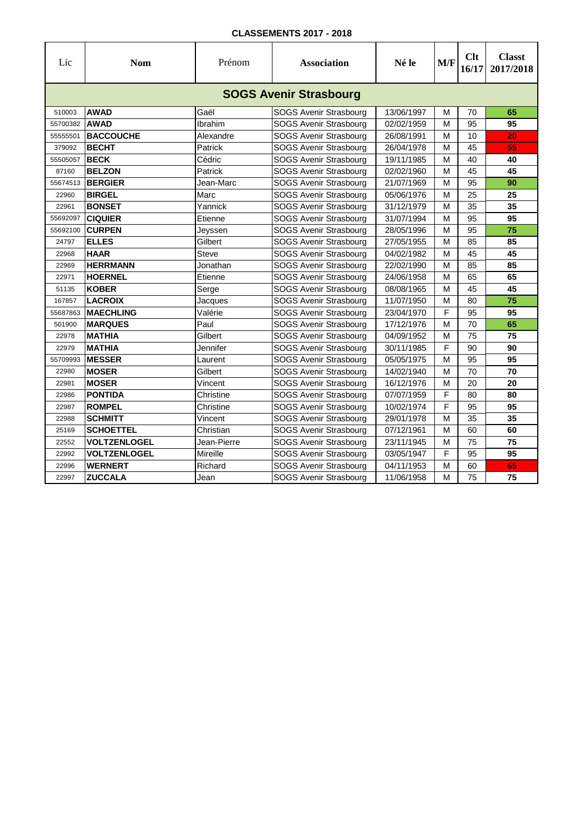| Lic      | <b>Nom</b>                    | Prénom       | <b>Association</b>            | Né le      | M/F | Clt<br>16/17 | <b>Classt</b><br>2017/2018 |  |  |  |  |
|----------|-------------------------------|--------------|-------------------------------|------------|-----|--------------|----------------------------|--|--|--|--|
|          | <b>SOGS Avenir Strasbourg</b> |              |                               |            |     |              |                            |  |  |  |  |
| 510003   | <b>AWAD</b>                   | Gaël         | SOGS Avenir Strasbourg        | 13/06/1997 | М   | 70           | 65                         |  |  |  |  |
| 55700382 | <b>AWAD</b>                   | Ibrahim      | SOGS Avenir Strasbourg        | 02/02/1959 | M   | 95           | 95                         |  |  |  |  |
| 55555501 | <b>BACCOUCHE</b>              | Alexandre    | <b>SOGS Avenir Strasbourg</b> | 26/08/1991 | М   | 10           | 20                         |  |  |  |  |
| 379092   | <b>BECHT</b>                  | Patrick      | <b>SOGS Avenir Strasbourg</b> | 26/04/1978 | М   | 45           | 55                         |  |  |  |  |
| 55505057 | <b>BECK</b>                   | Cédric       | SOGS Avenir Strasbourg        | 19/11/1985 | M   | 40           | 40                         |  |  |  |  |
| 87160    | <b>BELZON</b>                 | Patrick      | <b>SOGS Avenir Strasbourg</b> | 02/02/1960 | M   | 45           | 45                         |  |  |  |  |
| 55674513 | <b>BERGIER</b>                | Jean-Marc    | SOGS Avenir Strasbourg        | 21/07/1969 | М   | 95           | 90                         |  |  |  |  |
| 22960    | <b>BIRGEL</b>                 | Marc         | SOGS Avenir Strasbourg        | 05/06/1976 | М   | 25           | 25                         |  |  |  |  |
| 22961    | <b>BONSET</b>                 | Yannick      | SOGS Avenir Strasbourg        | 31/12/1979 | М   | 35           | 35                         |  |  |  |  |
| 55692097 | <b>CIQUIER</b>                | Etienne      | SOGS Avenir Strasbourg        | 31/07/1994 | м   | 95           | 95                         |  |  |  |  |
| 55692100 | <b>CURPEN</b>                 | Jeyssen      | SOGS Avenir Strasbourg        | 28/05/1996 | м   | 95           | 75                         |  |  |  |  |
| 24797    | <b>ELLES</b>                  | Gilbert      | SOGS Avenir Strasbourg        | 27/05/1955 | М   | 85           | 85                         |  |  |  |  |
| 22968    | <b>HAAR</b>                   | <b>Steve</b> | SOGS Avenir Strasbourg        | 04/02/1982 | М   | 45           | 45                         |  |  |  |  |
| 22969    | <b>HERRMANN</b>               | Jonathan     | <b>SOGS Avenir Strasbourg</b> | 22/02/1990 | м   | 85           | 85                         |  |  |  |  |
| 22971    | <b>HOERNEL</b>                | Etienne      | <b>SOGS Avenir Strasbourg</b> | 24/06/1958 | М   | 65           | 65                         |  |  |  |  |
| 51135    | <b>KOBER</b>                  | Serge        | <b>SOGS Avenir Strasbourg</b> | 08/08/1965 | M   | 45           | 45                         |  |  |  |  |
| 167857   | <b>LACROIX</b>                | Jacques      | <b>SOGS Avenir Strasbourg</b> | 11/07/1950 | М   | 80           | 75                         |  |  |  |  |
| 55687863 | <b>MAECHLING</b>              | Valérie      | SOGS Avenir Strasbourg        | 23/04/1970 | F   | 95           | 95                         |  |  |  |  |
| 501900   | <b>MARQUES</b>                | Paul         | SOGS Avenir Strasbourg        | 17/12/1976 | М   | 70           | 65                         |  |  |  |  |
| 22978    | <b>MATHIA</b>                 | Gilbert      | SOGS Avenir Strasbourg        | 04/09/1952 | М   | 75           | 75                         |  |  |  |  |
| 22979    | <b>MATHIA</b>                 | Jennifer     | SOGS Avenir Strasbourg        | 30/11/1985 | F   | 90           | 90                         |  |  |  |  |
| 55709993 | <b>MESSER</b>                 | Laurent      | SOGS Avenir Strasbourg        | 05/05/1975 | M   | 95           | 95                         |  |  |  |  |
| 22980    | <b>MOSER</b>                  | Gilbert      | SOGS Avenir Strasbourg        | 14/02/1940 | M   | 70           | 70                         |  |  |  |  |
| 22981    | <b>MOSER</b>                  | Vincent      | SOGS Avenir Strasbourg        | 16/12/1976 | M   | 20           | 20                         |  |  |  |  |
| 22986    | <b>PONTIDA</b>                | Christine    | SOGS Avenir Strasbourg        | 07/07/1959 | F   | 80           | 80                         |  |  |  |  |
| 22987    | <b>ROMPEL</b>                 | Christine    | SOGS Avenir Strasbourg        | 10/02/1974 | F   | 95           | 95                         |  |  |  |  |
| 22988    | <b>SCHMITT</b>                | Vincent      | SOGS Avenir Strasbourg        | 29/01/1978 | M   | 35           | 35                         |  |  |  |  |
| 25169    | <b>SCHOETTEL</b>              | Christian    | SOGS Avenir Strasbourg        | 07/12/1961 | М   | 60           | 60                         |  |  |  |  |
| 22552    | <b>VOLTZENLOGEL</b>           | Jean-Pierre  | SOGS Avenir Strasbourg        | 23/11/1945 | M   | 75           | 75                         |  |  |  |  |
| 22992    | <b>VOLTZENLOGEL</b>           | Mireille     | SOGS Avenir Strasbourg        | 03/05/1947 | F   | 95           | 95                         |  |  |  |  |
| 22996    | <b>WERNERT</b>                | Richard      | <b>SOGS Avenir Strasbourg</b> | 04/11/1953 | M   | 60           | 65                         |  |  |  |  |
| 22997    | <b>ZUCCALA</b>                | Jean         | <b>SOGS Avenir Strasbourg</b> | 11/06/1958 | M   | 75           | 75                         |  |  |  |  |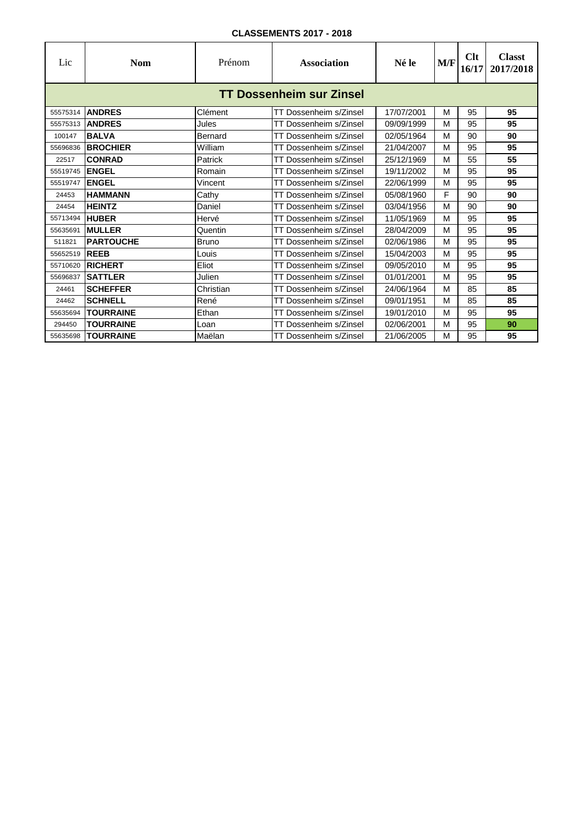| Lic                             | <b>Nom</b>       | Prénom    | <b>Association</b>     | Né le      | M/F | Clt<br>16/17 | <b>Classt</b><br>2017/2018 |  |  |  |
|---------------------------------|------------------|-----------|------------------------|------------|-----|--------------|----------------------------|--|--|--|
| <b>TT Dossenheim sur Zinsel</b> |                  |           |                        |            |     |              |                            |  |  |  |
| 55575314                        | <b>ANDRES</b>    | Clément   | TT Dossenheim s/Zinsel | 17/07/2001 | M   | 95           | 95                         |  |  |  |
| 55575313                        | <b>ANDRES</b>    | Jules     | TT Dossenheim s/Zinsel | 09/09/1999 | M   | 95           | 95                         |  |  |  |
| 100147                          | <b>BALVA</b>     | Bernard   | TT Dossenheim s/Zinsel | 02/05/1964 | M   | 90           | 90                         |  |  |  |
| 55696836                        | <b>BROCHIER</b>  | William   | TT Dossenheim s/Zinsel | 21/04/2007 | M   | 95           | 95                         |  |  |  |
| 22517                           | <b>CONRAD</b>    | Patrick   | TT Dossenheim s/Zinsel | 25/12/1969 | M   | 55           | 55                         |  |  |  |
| 55519745                        | <b>ENGEL</b>     | Romain    | TT Dossenheim s/Zinsel | 19/11/2002 | M   | 95           | 95                         |  |  |  |
| 55519747                        | <b>ENGEL</b>     | Vincent   | TT Dossenheim s/Zinsel | 22/06/1999 | M   | 95           | 95                         |  |  |  |
| 24453                           | <b>HAMMANN</b>   | Cathy     | TT Dossenheim s/Zinsel | 05/08/1960 | F   | 90           | 90                         |  |  |  |
| 24454                           | <b>HEINTZ</b>    | Daniel    | TT Dossenheim s/Zinsel | 03/04/1956 | M   | 90           | 90                         |  |  |  |
| 55713494                        | <b>HUBER</b>     | Hervé     | TT Dossenheim s/Zinsel | 11/05/1969 | M   | 95           | 95                         |  |  |  |
| 55635691                        | <b>MULLER</b>    | Quentin   | TT Dossenheim s/Zinsel | 28/04/2009 | M   | 95           | 95                         |  |  |  |
| 511821                          | <b>PARTOUCHE</b> | Bruno     | TT Dossenheim s/Zinsel | 02/06/1986 | M   | 95           | 95                         |  |  |  |
| 55652519                        | <b>REEB</b>      | Louis     | TT Dossenheim s/Zinsel | 15/04/2003 | M   | 95           | 95                         |  |  |  |
| 55710620                        | <b>RICHERT</b>   | Eliot     | TT Dossenheim s/Zinsel | 09/05/2010 | M   | 95           | 95                         |  |  |  |
| 55696837                        | <b>SATTLER</b>   | Julien    | TT Dossenheim s/Zinsel | 01/01/2001 | M   | 95           | 95                         |  |  |  |
| 24461                           | <b>SCHEFFER</b>  | Christian | TT Dossenheim s/Zinsel | 24/06/1964 | M   | 85           | 85                         |  |  |  |
| 24462                           | <b>SCHNELL</b>   | René      | TT Dossenheim s/Zinsel | 09/01/1951 | M   | 85           | 85                         |  |  |  |
| 55635694                        | <b>TOURRAINE</b> | Ethan     | TT Dossenheim s/Zinsel | 19/01/2010 | M   | 95           | 95                         |  |  |  |
| 294450                          | <b>TOURRAINE</b> | Loan      | TT Dossenheim s/Zinsel | 02/06/2001 | M   | 95           | 90                         |  |  |  |
| 55635698                        | <b>TOURRAINE</b> | Maëlan    | TT Dossenheim s/Zinsel | 21/06/2005 | M   | 95           | 95                         |  |  |  |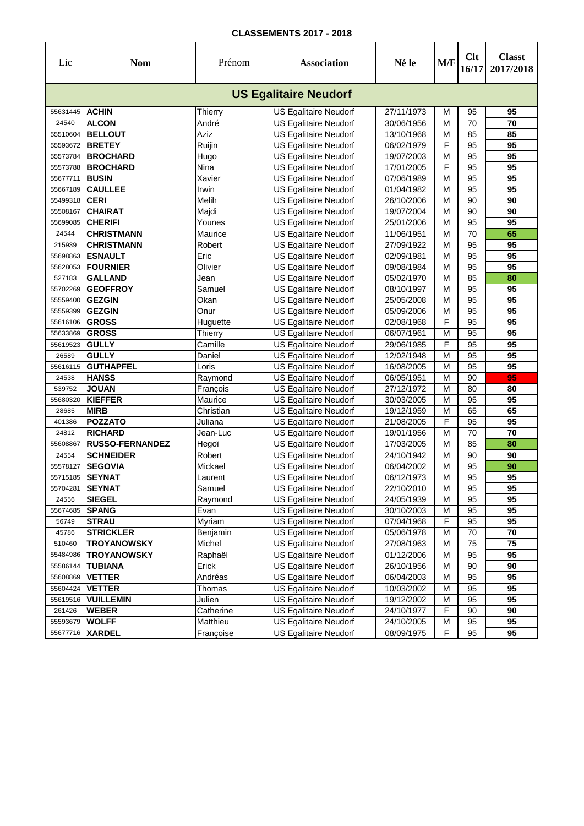| Lic      | <b>Nom</b>             | Prénom    | <b>Association</b>           | Né le      | M/F | Clt<br>16/17 | <b>Classt</b><br>2017/2018 |
|----------|------------------------|-----------|------------------------------|------------|-----|--------------|----------------------------|
|          |                        |           | <b>US Egalitaire Neudorf</b> |            |     |              |                            |
| 55631445 | <b>ACHIN</b>           | Thierry   | <b>US Egalitaire Neudorf</b> | 27/11/1973 | М   | 95           | 95                         |
| 24540    | <b>ALCON</b>           | André     | <b>US Egalitaire Neudorf</b> | 30/06/1956 | M   | 70           | 70                         |
| 55510604 | <b>BELLOUT</b>         | Aziz      | <b>US Egalitaire Neudorf</b> | 13/10/1968 | М   | 85           | 85                         |
| 55593672 | <b>BRETEY</b>          | Ruijin    | <b>US Egalitaire Neudorf</b> | 06/02/1979 | F   | 95           | 95                         |
| 55573784 | <b>BROCHARD</b>        | Hugo      | US Egalitaire Neudorf        | 19/07/2003 | M   | 95           | $\overline{95}$            |
| 55573788 | <b>BROCHARD</b>        | Nina      | <b>US Egalitaire Neudorf</b> | 17/01/2005 | F   | 95           | 95                         |
| 55677711 | <b>BUSIN</b>           | Xavier    | <b>US Egalitaire Neudorf</b> | 07/06/1989 | M   | 95           | 95                         |
| 55667189 | <b>CAULLEE</b>         | Irwin     | <b>US Egalitaire Neudorf</b> | 01/04/1982 | M   | 95           | 95                         |
| 55499318 | <b>CERI</b>            | Melih     | <b>US Egalitaire Neudorf</b> | 26/10/2006 | M   | 90           | 90                         |
| 55508167 | <b>CHAIRAT</b>         | Majdi     | <b>US Egalitaire Neudorf</b> | 19/07/2004 | M   | 90           | 90                         |
| 55699085 | <b>CHERIFI</b>         | Younes    | <b>US Egalitaire Neudorf</b> | 25/01/2006 | М   | 95           | 95                         |
| 24544    | <b>CHRISTMANN</b>      | Maurice   | US Egalitaire Neudorf        | 11/06/1951 | M   | 70           | 65                         |
| 215939   | <b>CHRISTMANN</b>      | Robert    | US Egalitaire Neudorf        | 27/09/1922 | M   | 95           | 95                         |
| 55698863 | <b>ESNAULT</b>         | Eric      | <b>US Egalitaire Neudorf</b> | 02/09/1981 | M   | 95           | 95                         |
| 55628053 | <b>FOURNIER</b>        | Olivier   | <b>US Egalitaire Neudorf</b> | 09/08/1984 | M   | 95           | 95                         |
| 527183   | <b>GALLAND</b>         | Jean      | <b>US Egalitaire Neudorf</b> | 05/02/1970 | M   | 85           | 80                         |
| 55702269 | <b>GEOFFROY</b>        | Samuel    | <b>US Egalitaire Neudorf</b> | 08/10/1997 | M   | 95           | 95                         |
| 55559400 | <b>GEZGIN</b>          | Okan      | <b>US Egalitaire Neudorf</b> | 25/05/2008 | M   | 95           | 95                         |
| 55559399 | <b>GEZGIN</b>          | Onur      | <b>US Egalitaire Neudorf</b> | 05/09/2006 | M   | 95           | 95                         |
| 55616106 | <b>GROSS</b>           | Huguette  | <b>US Egalitaire Neudorf</b> | 02/08/1968 | F   | 95           | 95                         |
| 55633869 | <b>GROSS</b>           | Thierry   | US Egalitaire Neudorf        | 06/07/1961 | M   | 95           | 95                         |
| 55619523 | <b>GULLY</b>           | Camille   | US Egalitaire Neudorf        | 29/06/1985 | F   | 95           | 95                         |
| 26589    | <b>GULLY</b>           | Daniel    | <b>US Egalitaire Neudorf</b> | 12/02/1948 | M   | 95           | $\overline{95}$            |
| 55616115 | <b>GUTHAPFEL</b>       | Loris     | <b>US Egalitaire Neudorf</b> | 16/08/2005 | М   | 95           | 95                         |
| 24538    | <b>HANSS</b>           | Raymond   | <b>US Egalitaire Neudorf</b> | 06/05/1951 | M   | 90           | 95                         |
| 539752   | <b>JOUAN</b>           | François  | <b>US Egalitaire Neudorf</b> | 27/12/1972 | M   | 80           | 80                         |
| 55680320 | <b>KIEFFER</b>         | Maurice   | <b>US Egalitaire Neudorf</b> | 30/03/2005 | M   | 95           | 95                         |
| 28685    | <b>MIRB</b>            | Christian | <b>US Egalitaire Neudorf</b> | 19/12/1959 | М   | 65           | 65                         |
| 401386   | <b>POZZATO</b>         | Juliana   | <b>US Egalitaire Neudorf</b> | 21/08/2005 | F   | 95           | 95                         |
| 24812    | <b>RICHARD</b>         | Jean-Luc  | US Egalitaire Neudorf        | 19/01/1956 | M   | 70           | $\overline{70}$            |
| 55608867 | <b>RUSSO-FERNANDEZ</b> | Hegoï     | <b>US Egalitaire Neudorf</b> | 17/03/2005 | M   | 85           | 80                         |
| 24554    | <b>SCHNEIDER</b>       | Robert    | <b>US Egalitaire Neudorf</b> | 24/10/1942 | М   | 90           | 90                         |
| 55578127 | <b>SEGOVIA</b>         | Mickael   | <b>US Egalitaire Neudorf</b> | 06/04/2002 | M   | 95           | 90                         |
| 55715185 | <b>SEYNAT</b>          | Laurent   | <b>US Egalitaire Neudorf</b> | 06/12/1973 | M   | 95           | 95                         |
| 55704281 | <b>SEYNAT</b>          | Samuel    | <b>US Egalitaire Neudorf</b> | 22/10/2010 | М   | 95           | 95                         |
| 24556    | <b>SIEGEL</b>          | Raymond   | <b>US Egalitaire Neudorf</b> | 24/05/1939 | M   | 95           | 95                         |
| 55674685 | <b>SPANG</b>           | Evan      | <b>US Egalitaire Neudorf</b> | 30/10/2003 | М   | 95           | 95                         |
| 56749    | <b>STRAU</b>           | Myriam    | US Egalitaire Neudorf        | 07/04/1968 | F   | 95           | 95                         |
| 45786    | <b>STRICKLER</b>       | Benjamin  | <b>US Egalitaire Neudorf</b> | 05/06/1978 | M   | 70           | 70                         |
| 510460   | <b>TROYANOWSKY</b>     | Michel    | US Egalitaire Neudorf        | 27/08/1963 | M   | 75           | $\overline{75}$            |
| 55484986 | <b>TROYANOWSKY</b>     | Raphaël   | US Egalitaire Neudorf        | 01/12/2006 | M   | 95           | 95                         |
| 55586144 | <b>TUBIANA</b>         | Erick     | US Egalitaire Neudorf        | 26/10/1956 | M   | 90           | 90                         |
| 55608869 | <b>VETTER</b>          | Andréas   | <b>US Egalitaire Neudorf</b> | 06/04/2003 | M   | 95           | 95                         |
| 55604424 | <b>VETTER</b>          | Thomas    | <b>US Egalitaire Neudorf</b> | 10/03/2002 | M   | 95           | 95                         |
| 55619516 | <b>VUILLEMIN</b>       | Julien    | US Egalitaire Neudorf        | 19/12/2002 | M   | 95           | 95                         |
| 261426   | <b>WEBER</b>           | Catherine | US Egalitaire Neudorf        | 24/10/1977 | F   | 90           | 90                         |
| 55593679 | <b>WOLFF</b>           | Matthieu  | <b>US Egalitaire Neudorf</b> | 24/10/2005 | M   | 95           | 95                         |
|          | 55677716 XARDEL        | Françoise | <b>US Egalitaire Neudorf</b> | 08/09/1975 | F   | 95           | 95                         |